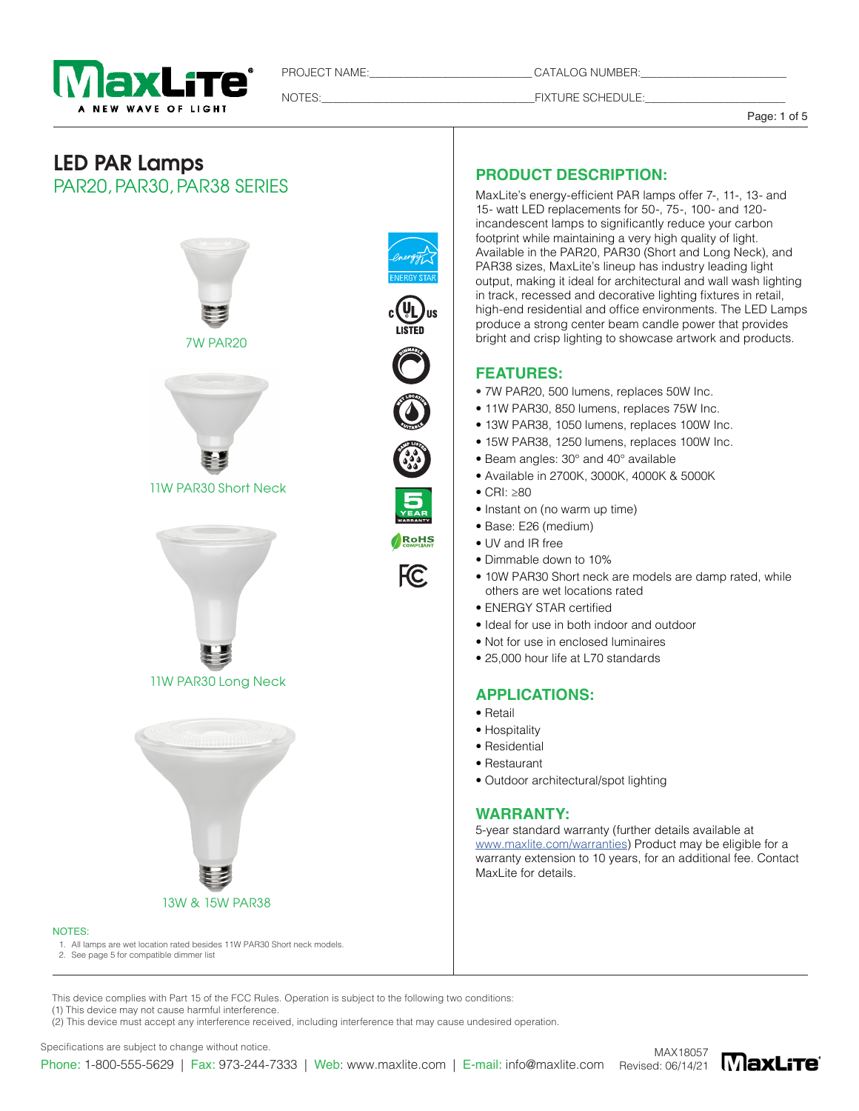

PROJECT NAME: CATALOG NUMBER:

NOTES:\_\_\_\_\_\_\_\_\_\_\_\_\_\_\_\_\_\_\_\_\_\_\_\_\_\_\_\_\_\_\_\_\_\_\_\_\_\_FIXTURE SCHEDULE:\_\_\_\_\_\_\_\_\_\_\_\_\_\_\_\_\_\_\_\_\_\_\_\_\_

Page: 1 of 5

# LED PAR Lamps PAR20, PAR30, PAR38 SERIES



# RoHS

FC.

# **PRODUCT DESCRIPTION:**

MaxLite's energy-efficient PAR lamps offer 7-, 11-, 13- and 15- watt LED replacements for 50-, 75-, 100- and 120 incandescent lamps to significantly reduce your carbon footprint while maintaining a very high quality of light. Available in the PAR20, PAR30 (Short and Long Neck), and PAR38 sizes, MaxLite's lineup has industry leading light output, making it ideal for architectural and wall wash lighting in track, recessed and decorative lighting fixtures in retail, high-end residential and office environments. The LED Lamps produce a strong center beam candle power that provides bright and crisp lighting to showcase artwork and products.

# **FEATURES:**

- 7W PAR20, 500 lumens, replaces 50W Inc.
- 11W PAR30, 850 lumens, replaces 75W Inc.
- 13W PAR38, 1050 lumens, replaces 100W Inc.
- 15W PAR38, 1250 lumens, replaces 100W Inc.
- Beam angles: 30° and 40° available
- Available in 2700K, 3000K, 4000K & 5000K
- CRI: ≥80
- Instant on (no warm up time)
- Base: E26 (medium)
- UV and IR free
- Dimmable down to 10%
- 10W PAR30 Short neck are models are damp rated, while others are wet locations rated
- ENERGY STAR certified
- Ideal for use in both indoor and outdoor
- Not for use in enclosed luminaires
- 25,000 hour life at L70 standards

### **APPLICATIONS:**

- Retail
- Hospitality
- Residential
- Restaurant
- Outdoor architectural/spot lighting

### **WARRANTY:**

5-year standard warranty (further details available at www.maxlite.com/warranties) Product may be eligible for a warranty extension to 10 years, for an additional fee. Contact MaxLite for details.

NOTES:

1. All lamps are wet location rated besides 11W PAR30 Short neck models.

2. See page 5 for compatible dimmer list

This device complies with Part 15 of the FCC Rules. Operation is subject to the following two conditions: (1) This device may not cause harmful interference.

(2) This device must accept any interference received, including interference that may cause undesired operation.

Specifications are subject to change without notice.



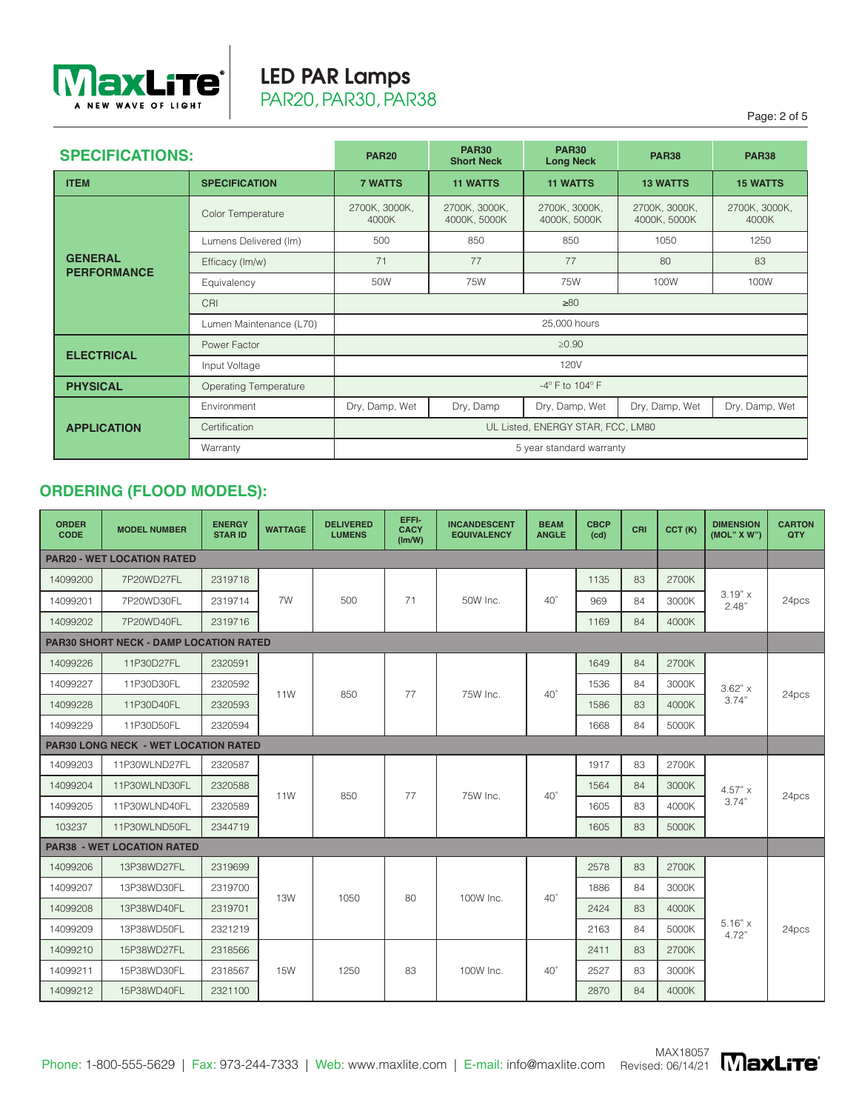

# LED PAR Lamps PAR20, PAR30, PAR38

Page: 2 of 5

| <b>SPECIFICATIONS:</b>               |                              | <b>PAR20</b>                  | <b>PAR30</b><br><b>Short Neck</b> | <b>PAR30</b><br><b>Long Neck</b>  | <b>PAR38</b>                  | <b>PAR38</b>           |  |  |  |
|--------------------------------------|------------------------------|-------------------------------|-----------------------------------|-----------------------------------|-------------------------------|------------------------|--|--|--|
| <b>ITEM</b>                          | <b>SPECIFICATION</b>         | <b>7 WATTS</b>                | <b>11 WATTS</b>                   | <b>11 WATTS</b>                   | <b>13 WATTS</b>               | <b>15 WATTS</b>        |  |  |  |
|                                      | Color Temperature            | 2700K, 3000K,<br>4000K        | 2700K, 3000K,<br>4000K, 5000K     | 2700K, 3000K,<br>4000K, 5000K     | 2700K, 3000K,<br>4000K, 5000K | 2700K, 3000K,<br>4000K |  |  |  |
|                                      | Lumens Delivered (Im)        | 500                           | 850                               | 850                               | 1050                          | 1250                   |  |  |  |
| <b>GENERAL</b><br><b>PERFORMANCE</b> | Efficacy (lm/w)              | 71                            | 77                                | 77                                | 80                            | 83                     |  |  |  |
|                                      | Equivalency                  | 50W                           | 75W                               | 75W                               | 100W                          | 100W                   |  |  |  |
|                                      | CRI<br>$\geq 80$             |                               |                                   |                                   |                               |                        |  |  |  |
|                                      | Lumen Maintenance (L70)      | 25,000 hours                  |                                   |                                   |                               |                        |  |  |  |
|                                      | Power Factor                 | $\geq 0.90$                   |                                   |                                   |                               |                        |  |  |  |
| <b>ELECTRICAL</b>                    | Input Voltage                | <b>120V</b>                   |                                   |                                   |                               |                        |  |  |  |
| <b>PHYSICAL</b>                      | <b>Operating Temperature</b> | $-4^\circ$ F to $104^\circ$ F |                                   |                                   |                               |                        |  |  |  |
|                                      | Environment                  | Dry, Damp, Wet                | Dry, Damp                         | Dry, Damp, Wet                    | Dry, Damp, Wet                | Dry, Damp, Wet         |  |  |  |
| <b>APPLICATION</b>                   | Certification                |                               |                                   | UL Listed, ENERGY STAR, FCC, LM80 |                               |                        |  |  |  |
|                                      | Warranty                     |                               |                                   | 5 year standard warranty          |                               |                        |  |  |  |

# **ORDERING (FLOOD MODELS):**

| <b>ORDER</b><br><b>CODE</b> | <b>MODEL NUMBER</b>                           | <b>ENERGY</b><br><b>STAR ID</b> | <b>WATTAGE</b> | <b>DELIVERED</b><br><b>LUMENS</b> | EFFI-<br><b>CACY</b><br>(Im/W) | <b>INCANDESCENT</b><br><b>EQUIVALENCY</b> | <b>BEAM</b><br><b>ANGLE</b> | <b>CBCP</b><br>(cd) | CRI | CCT(K) | <b>DIMENSION</b><br>(MOL" X W") | <b>CARTON</b><br>QTY |
|-----------------------------|-----------------------------------------------|---------------------------------|----------------|-----------------------------------|--------------------------------|-------------------------------------------|-----------------------------|---------------------|-----|--------|---------------------------------|----------------------|
|                             | <b>PAR20 - WET LOCATION RATED</b>             |                                 |                |                                   |                                |                                           |                             |                     |     |        |                                 |                      |
| 14099200                    | 7P20WD27FL                                    | 2319718                         |                |                                   |                                |                                           |                             | 1135                | 83  | 2700K  |                                 |                      |
| 14099201                    | 7P20WD30FL                                    | 2319714                         | 7W             | 500                               | 71                             | 50W Inc.                                  | $40^{\circ}$                | 969                 | 84  | 3000K  | 3.19" x<br>2.48"                | 24pcs                |
| 14099202                    | 7P20WD40FL                                    | 2319716                         |                |                                   |                                |                                           |                             | 1169                | 84  | 4000K  |                                 |                      |
|                             | <b>PAR30 SHORT NECK - DAMP LOCATION RATED</b> |                                 |                |                                   |                                |                                           |                             |                     |     |        |                                 |                      |
| 14099226                    | 11P30D27FL                                    | 2320591                         |                |                                   |                                |                                           |                             | 1649                | 84  | 2700K  | $3.62"$ x<br>3.74"              |                      |
| 14099227                    | 11P30D30FL                                    | 2320592                         | 11W            | 850                               | 77                             | 75W Inc.                                  | $40^{\circ}$                | 1536                | 84  | 3000K  |                                 | 24pcs                |
| 14099228                    | 11P30D40FL                                    | 2320593                         |                |                                   |                                |                                           |                             | 1586                | 83  | 4000K  |                                 |                      |
| 14099229                    | 11P30D50FL                                    | 2320594                         |                |                                   |                                |                                           |                             | 1668                | 84  | 5000K  |                                 |                      |
|                             | <b>PAR30 LONG NECK - WET LOCATION RATED</b>   |                                 |                |                                   |                                |                                           |                             |                     |     |        |                                 |                      |
| 14099203                    | 11P30WLND27FL                                 | 2320587                         |                |                                   | 77                             | 75W Inc.                                  | $40^{\circ}$                | 1917                | 83  | 2700K  | $4.57" \times$<br>3.74"         | 24pcs                |
| 14099204                    | 11P30WLND30FL                                 | 2320588                         | 11W            | 850                               |                                |                                           |                             | 1564                | 84  | 3000K  |                                 |                      |
| 14099205                    | 11P30WLND40FL                                 | 2320589                         |                |                                   |                                |                                           |                             | 1605                | 83  | 4000K  |                                 |                      |
| 103237                      | 11P30WLND50FL                                 | 2344719                         |                |                                   |                                |                                           |                             | 1605                | 83  | 5000K  |                                 |                      |
|                             | <b>PAR38 - WET LOCATION RATED</b>             |                                 |                |                                   |                                |                                           |                             |                     |     |        |                                 |                      |
| 14099206                    | 13P38WD27FL                                   | 2319699                         |                |                                   |                                |                                           |                             | 2578                | 83  | 2700K  |                                 |                      |
| 14099207                    | 13P38WD30FL                                   | 2319700                         | 13W            | 1050                              | 80                             | 100W Inc.                                 | $40^{\circ}$                | 1886                | 84  | 3000K  |                                 |                      |
| 14099208                    | 13P38WD40FL                                   | 2319701                         |                |                                   |                                |                                           |                             | 2424                | 83  | 4000K  |                                 |                      |
| 14099209                    | 13P38WD50FL                                   | 2321219                         |                |                                   |                                |                                           |                             | 2163                | 84  | 5000K  | $5.16"$ x<br>4.72"              | 24pcs                |
| 14099210                    | 15P38WD27FL                                   | 2318566                         |                |                                   |                                |                                           |                             | 2411                | 83  | 2700K  |                                 |                      |
| 14099211                    | 15P38WD30FL                                   | 2318567                         | <b>15W</b>     | 1250                              | 83                             | 100W Inc.                                 | $40^{\circ}$                | 2527                | 83  | 3000K  |                                 |                      |
| 14099212                    | 15P38WD40FL                                   | 2321100                         |                |                                   |                                |                                           |                             | 2870                | 84  | 4000K  |                                 |                      |

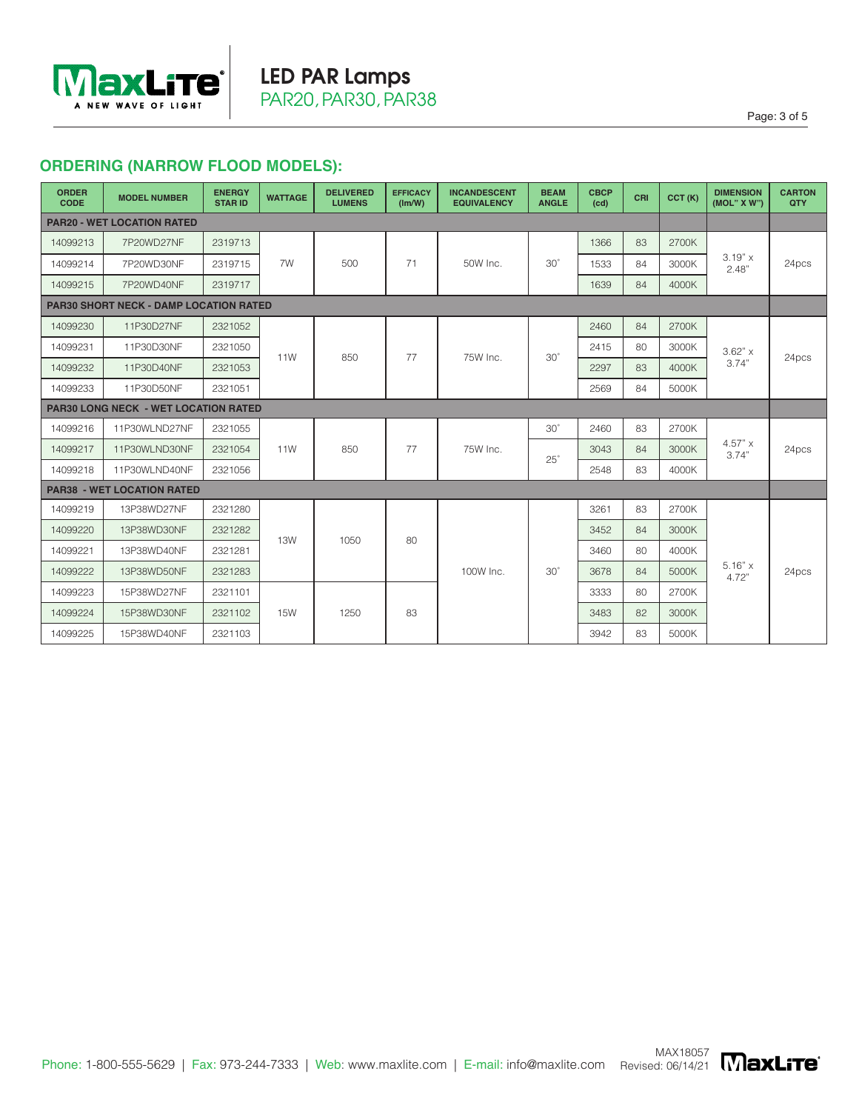

# **ORDERING (NARROW FLOOD MODELS):**

| <b>ORDER</b><br><b>CODE</b>       | <b>MODEL NUMBER</b>                           | <b>ENERGY</b><br><b>STAR ID</b> | <b>WATTAGE</b> | <b>DELIVERED</b><br><b>LUMENS</b> | <b>EFFICACY</b><br>(lm/W) | <b>INCANDESCENT</b><br><b>EQUIVALENCY</b> | <b>BEAM</b><br><b>ANGLE</b> | <b>CBCP</b><br>(cd) | <b>CRI</b> | CCT(K) | <b>DIMENSION</b><br>(MOL" X W") | <b>CARTON</b><br>QTY |       |
|-----------------------------------|-----------------------------------------------|---------------------------------|----------------|-----------------------------------|---------------------------|-------------------------------------------|-----------------------------|---------------------|------------|--------|---------------------------------|----------------------|-------|
| <b>PAR20 - WET LOCATION RATED</b> |                                               |                                 |                |                                   |                           |                                           |                             |                     |            |        |                                 |                      |       |
| 14099213                          | 7P20WD27NF                                    | 2319713                         |                |                                   |                           |                                           |                             | 1366                | 83         | 2700K  |                                 |                      |       |
| 14099214                          | 7P20WD30NF                                    | 2319715                         | 7W             | 500                               | 71                        | 50W Inc.                                  | $30^\circ$                  | 1533                | 84         | 3000K  | $3.19" \times$<br>2.48"         | 24pcs                |       |
| 14099215                          | 7P20WD40NF                                    | 2319717                         |                |                                   |                           |                                           |                             | 1639                | 84         | 4000K  |                                 |                      |       |
|                                   | <b>PAR30 SHORT NECK - DAMP LOCATION RATED</b> |                                 |                |                                   |                           |                                           |                             |                     |            |        |                                 |                      |       |
| 14099230                          | 11P30D27NF                                    | 2321052                         |                |                                   |                           |                                           |                             | 2460                | 84         | 2700K  | $3.62"$ x<br>3.74"              |                      |       |
| 14099231                          | 11P30D30NF                                    | 2321050                         | 11W            | 850                               | 77                        | 75W Inc.                                  | $30^\circ$                  | 2415                | 80         | 3000K  |                                 | 24pcs                |       |
| 14099232                          | 11P30D40NF                                    | 2321053                         |                |                                   |                           |                                           |                             | 2297                | 83         | 4000K  |                                 |                      |       |
| 14099233                          | 11P30D50NF                                    | 2321051                         |                |                                   |                           |                                           |                             | 2569                | 84         | 5000K  |                                 |                      |       |
|                                   | <b>PAR30 LONG NECK - WET LOCATION RATED</b>   |                                 |                |                                   |                           |                                           |                             |                     |            |        |                                 |                      |       |
| 14099216                          | 11P30WLND27NF                                 | 2321055                         |                |                                   |                           |                                           | $30^\circ$                  | 2460                | 83         | 2700K  |                                 |                      |       |
| 14099217                          | 11P30WLND30NF                                 | 2321054                         | 11W            | 850                               | 77                        | 75W Inc.                                  |                             | $25^\circ$          | 3043       | 84     | 3000K                           | 4.57" x<br>3.74"     | 24pcs |
| 14099218                          | 11P30WLND40NF                                 | 2321056                         |                |                                   |                           |                                           |                             | 2548                | 83         | 4000K  |                                 |                      |       |
|                                   | <b>PAR38 - WET LOCATION RATED</b>             |                                 |                |                                   |                           |                                           |                             |                     |            |        |                                 |                      |       |
| 14099219                          | 13P38WD27NF                                   | 2321280                         |                |                                   |                           |                                           |                             | 3261                | 83         | 2700K  |                                 |                      |       |
| 14099220                          | 13P38WD30NF                                   | 2321282                         | <b>13W</b>     | 1050                              | 80                        |                                           |                             | 3452                | 84         | 3000K  |                                 |                      |       |
| 14099221                          | 13P38WD40NF                                   | 2321281                         |                |                                   |                           |                                           |                             | 3460                | 80         | 4000K  |                                 |                      |       |
| 14099222                          | 13P38WD50NF                                   | 2321283                         |                |                                   |                           | 100W Inc.                                 | $30^\circ$                  | 3678                | 84         | 5000K  | $5.16" \times$<br>4.72"         | 24pcs                |       |
| 14099223                          | 15P38WD27NF                                   | 2321101                         |                |                                   |                           |                                           |                             | 3333                | 80         | 2700K  |                                 |                      |       |
| 14099224                          | 15P38WD30NF                                   | 2321102                         | <b>15W</b>     | 1250                              | 83                        |                                           |                             | 3483                | 82         | 3000K  |                                 |                      |       |
| 14099225                          | 15P38WD40NF                                   | 2321103                         |                |                                   |                           |                                           |                             | 3942                | 83         | 5000K  |                                 |                      |       |



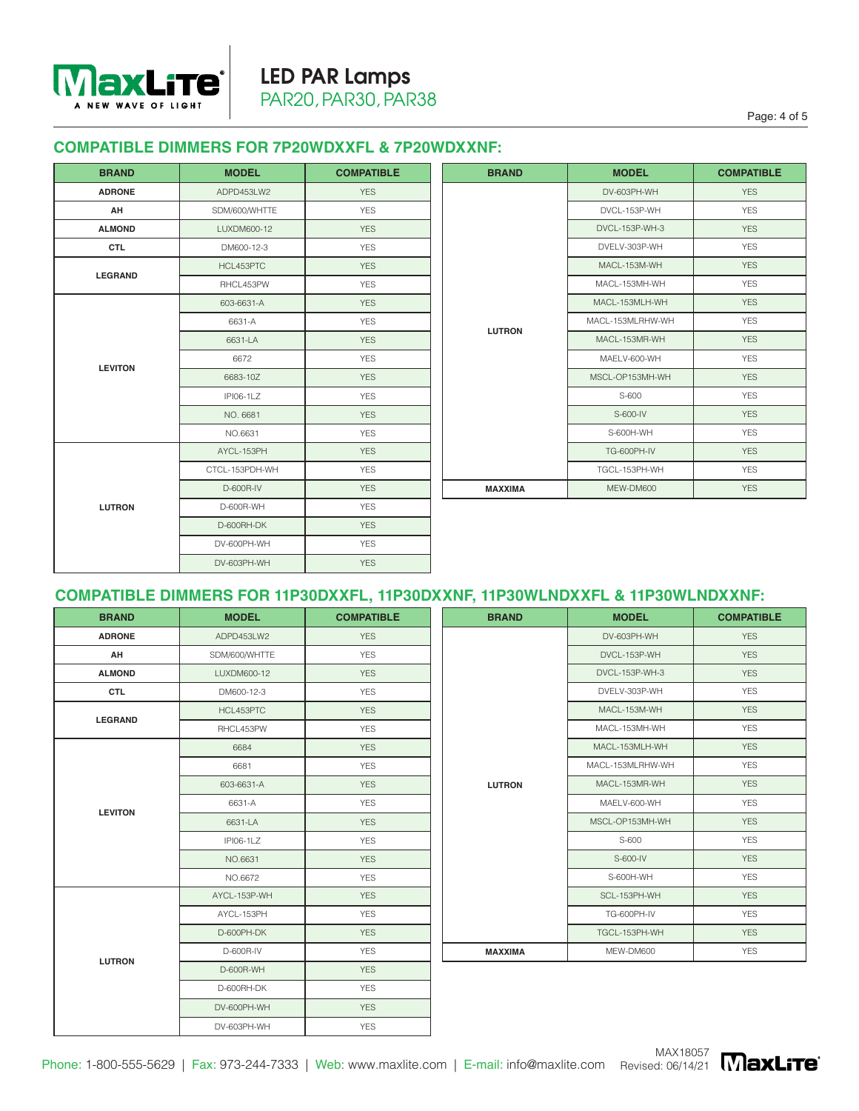

### **COMPATIBLE DIMMERS FOR 7P20WDXXFL & 7P20WDXXNF:**

| <b>BRAND</b>   | <b>MODEL</b>             | <b>COMPATIBLE</b> | <b>BRAND</b>   | <b>MODEL</b>       | <b>COMPATIBLE</b> |
|----------------|--------------------------|-------------------|----------------|--------------------|-------------------|
| <b>ADRONE</b>  | ADPD453LW2               | <b>YES</b>        |                | DV-603PH-WH        | <b>YES</b>        |
| AH             | SDM/600/WHTTE            | <b>YES</b>        |                | DVCL-153P-WH       | <b>YES</b>        |
| <b>ALMOND</b>  | LUXDM600-12              | <b>YES</b>        |                | DVCL-153P-WH-3     | <b>YES</b>        |
| <b>CTL</b>     | DM600-12-3               | <b>YES</b>        |                | DVELV-303P-WH      | <b>YES</b>        |
|                | HCL453PTC                | <b>YES</b>        |                | MACL-153M-WH       | <b>YES</b>        |
| <b>LEGRAND</b> | RHCL453PW                | <b>YES</b>        |                | MACL-153MH-WH      | <b>YES</b>        |
|                | <b>YES</b><br>603-6631-A |                   | MACL-153MLH-WH | <b>YES</b>         |                   |
|                | 6631-A                   | <b>YES</b>        |                | MACL-153MLRHW-WH   | <b>YES</b>        |
|                | 6631-LA                  | <b>YES</b>        | <b>LUTRON</b>  | MACL-153MR-WH      | <b>YES</b>        |
|                | 6672                     | <b>YES</b>        |                | MAELV-600-WH       | <b>YES</b>        |
| <b>LEVITON</b> | 6683-10Z                 | <b>YES</b>        |                | MSCL-OP153MH-WH    | <b>YES</b>        |
|                | <b>IPI06-1LZ</b>         | <b>YES</b>        |                | S-600              | <b>YES</b>        |
|                | NO. 6681                 | <b>YES</b>        |                | S-600-IV           | <b>YES</b>        |
|                | NO.6631                  | <b>YES</b>        |                | S-600H-WH          | <b>YES</b>        |
|                | AYCL-153PH               | <b>YES</b>        |                | <b>TG-600PH-IV</b> | <b>YES</b>        |
|                | CTCL-153PDH-WH           | <b>YES</b>        |                | TGCL-153PH-WH      | <b>YES</b>        |
|                | D-600R-IV                | <b>YES</b>        | <b>MAXXIMA</b> | MEW-DM600          | <b>YES</b>        |
| <b>LUTRON</b>  | D-600R-WH                | <b>YES</b>        |                |                    |                   |
|                | D-600RH-DK               | <b>YES</b>        |                |                    |                   |
|                | DV-600PH-WH              | <b>YES</b>        |                |                    |                   |
|                | DV-603PH-WH              | <b>YES</b>        |                |                    |                   |

| <b>MODEL</b>     | <b>COMPATIBLE</b> | <b>BRAND</b>   | <b>MODEL</b>       | <b>COMPATIBLE</b> |
|------------------|-------------------|----------------|--------------------|-------------------|
| ADPD453LW2       | <b>YES</b>        |                | DV-603PH-WH        | <b>YES</b>        |
| SDM/600/WHTTE    | <b>YES</b>        |                | DVCL-153P-WH       | <b>YES</b>        |
| LUXDM600-12      | <b>YES</b>        |                | DVCL-153P-WH-3     | <b>YES</b>        |
| DM600-12-3       | <b>YES</b>        |                | DVELV-303P-WH      | <b>YES</b>        |
| HCL453PTC        | <b>YES</b>        |                | MACL-153M-WH       | <b>YES</b>        |
| RHCL453PW        | <b>YES</b>        |                | MACL-153MH-WH      | <b>YES</b>        |
| 603-6631-A       | <b>YES</b>        |                | MACL-153MLH-WH     | <b>YES</b>        |
| 6631-A           | <b>YES</b>        | <b>LUTRON</b>  | MACL-153MLRHW-WH   | <b>YES</b>        |
| 6631-LA          | <b>YES</b>        |                | MACL-153MR-WH      | <b>YES</b>        |
| 6672             | <b>YES</b>        |                | MAELV-600-WH       | <b>YES</b>        |
| 6683-10Z         | <b>YES</b>        |                | MSCL-OP153MH-WH    | <b>YES</b>        |
| <b>IPI06-1LZ</b> | <b>YES</b>        |                | S-600              | <b>YES</b>        |
| NO. 6681         | <b>YES</b>        |                | S-600-IV           | <b>YES</b>        |
| NO.6631          | <b>YES</b>        |                | S-600H-WH          | <b>YES</b>        |
| AYCL-153PH       | <b>YES</b>        |                | <b>TG-600PH-IV</b> | <b>YES</b>        |
| CTCL-153PDH-WH   | <b>YES</b>        |                | TGCL-153PH-WH      | <b>YES</b>        |
| D-600R-IV        | <b>YES</b>        | <b>MAXXIMA</b> | MEW-DM600          | <b>YES</b>        |

# **COMPATIBLE DIMMERS FOR 11P30DXXFL, 11P30DXXNF, 11P30WLNDXXFL & 11P30WLNDXXNF:**

| <b>BRAND</b>   | <b>MODEL</b>  | <b>COMPATIBLE</b> | <b>BRAND</b>   | <b>MODEL</b>     | <b>COMPATIBLE</b> |
|----------------|---------------|-------------------|----------------|------------------|-------------------|
| <b>ADRONE</b>  | ADPD453LW2    | <b>YES</b>        |                | DV-603PH-WH      | <b>YES</b>        |
| AH             | SDM/600/WHTTE | <b>YES</b>        |                | DVCL-153P-WH     | <b>YES</b>        |
| <b>ALMOND</b>  | LUXDM600-12   | <b>YES</b>        |                | DVCL-153P-WH-3   | <b>YES</b>        |
| <b>CTL</b>     | DM600-12-3    | <b>YES</b>        |                | DVELV-303P-WH    | <b>YES</b>        |
| <b>LEGRAND</b> | HCL453PTC     | <b>YES</b>        |                | MACL-153M-WH     | <b>YES</b>        |
|                | RHCL453PW     | <b>YES</b>        |                | MACL-153MH-WH    | <b>YES</b>        |
|                | 6684          | <b>YES</b>        |                | MACL-153MLH-WH   | <b>YES</b>        |
|                | 6681          | <b>YES</b>        |                | MACL-153MLRHW-WH | <b>YES</b>        |
|                | 603-6631-A    | <b>YES</b>        | <b>LUTRON</b>  | MACL-153MR-WH    | <b>YES</b>        |
| <b>LEVITON</b> | 6631-A        | <b>YES</b>        |                | MAELV-600-WH     | <b>YES</b>        |
|                | 6631-LA       | <b>YES</b>        |                | MSCL-OP153MH-WH  | <b>YES</b>        |
|                | IPI06-1LZ     | <b>YES</b>        |                | S-600            | <b>YES</b>        |
|                | NO.6631       | <b>YES</b>        |                | S-600-IV         | <b>YES</b>        |
|                | NO.6672       | <b>YES</b>        |                | S-600H-WH        | <b>YES</b>        |
|                | AYCL-153P-WH  | <b>YES</b>        |                | SCL-153PH-WH     | <b>YES</b>        |
|                | AYCL-153PH    | <b>YES</b>        |                | TG-600PH-IV      | <b>YES</b>        |
|                | D-600PH-DK    | <b>YES</b>        |                | TGCL-153PH-WH    | <b>YES</b>        |
|                | D-600R-IV     | <b>YES</b>        | <b>MAXXIMA</b> | MEW-DM600        | <b>YES</b>        |
| <b>LUTRON</b>  | D-600R-WH     | <b>YES</b>        |                |                  |                   |
|                | D-600RH-DK    | <b>YES</b>        |                |                  |                   |
|                | DV-600PH-WH   | <b>YES</b>        |                |                  |                   |
|                | DV-603PH-WH   | <b>YES</b>        |                |                  |                   |